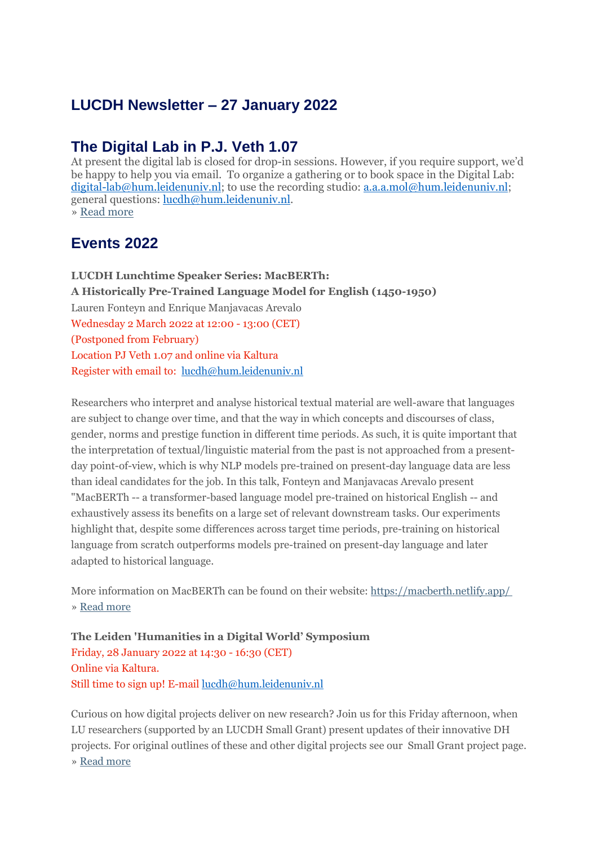# **LUCDH Newsletter – 27 January 2022**

#### **The Digital Lab in P.J. Veth 1.07**

At present the digital lab is closed for drop-in sessions. However, if you require support, we'd be happy to help you via email. To organize a gathering or to book space in the Digital Lab: [digital-lab@hum.leidenuniv.nl;](mailto:digital-lab@hum.leidenuniv.nl) to use the recording studio: [a.a.a.mol@hum.leidenuniv.nl;](mailto:a.a.a.mol@hum.leidenuniv.nl) general questions: [lucdh@hum.leidenuniv.nl.](mailto:lucdh@hum.leidenuniv.nl) » Read [more](https://eur03.safelinks.protection.outlook.com/?url=https%3A%2F%2Fmailings.universiteitleiden.nl%2Ft%2Fd-l-aktiykl-ildrlkutiy-j%2F&data=04%7C01%7Ca.j.carter%40hum.leidenuniv.nl%7C4411698a10cf48e2a9bc08d9e18d56e7%7Cca2a7f76dbd74ec091086b3d524fb7c8%7C0%7C0%7C637788819442258702%7CUnknown%7CTWFpbGZsb3d8eyJWIjoiMC4wLjAwMDAiLCJQIjoiV2luMzIiLCJBTiI6Ik1haWwiLCJXVCI6Mn0%3D%7C3000&sdata=c3Mi%2FrSNL0a9CUVxc6bkgWnU4FCIZ4v0owcZtc6bZRg%3D&reserved=0)

### **Events 2022**

**LUCDH Lunchtime Speaker Series: MacBERTh: A Historically Pre-Trained Language Model for English (1450-1950)** Lauren Fonteyn and Enrique Manjavacas Arevalo Wednesday 2 March 2022 at 12:00 - 13:00 (CET) (Postponed from February) Location PJ Veth 1.07 and online via Kaltura Register with email to: [lucdh@hum.leidenuniv.nl](mailto:lucdh@hum.leidenuniv.nl)

Researchers who interpret and analyse historical textual material are well-aware that languages are subject to change over time, and that the way in which concepts and discourses of class, gender, norms and prestige function in different time periods. As such, it is quite important that the interpretation of textual/linguistic material from the past is not approached from a presentday point-of-view, which is why NLP models pre-trained on present-day language data are less than ideal candidates for the job. In this talk, Fonteyn and Manjavacas Arevalo present "MacBERTh -- a transformer-based language model pre-trained on historical English -- and exhaustively assess its benefits on a large set of relevant downstream tasks. Our experiments highlight that, despite some differences across target time periods, pre-training on historical language from scratch outperforms models pre-trained on present-day language and later adapted to historical language.

More information on MacBERTh can be found on their website: [https://macberth.netlify.app/](https://eur03.safelinks.protection.outlook.com/?url=https%3A%2F%2Fmailings.universiteitleiden.nl%2Ft%2Fd-l-aktiykl-ildrlkutiy-i%2F&data=04%7C01%7Ca.j.carter%40hum.leidenuniv.nl%7C4411698a10cf48e2a9bc08d9e18d56e7%7Cca2a7f76dbd74ec091086b3d524fb7c8%7C0%7C0%7C637788819442258702%7CUnknown%7CTWFpbGZsb3d8eyJWIjoiMC4wLjAwMDAiLCJQIjoiV2luMzIiLCJBTiI6Ik1haWwiLCJXVCI6Mn0%3D%7C3000&sdata=BCuR%2FtbkjtYHlfgHZ3b7FzK9suHzsDErMsiIJAgjiP0%3D&reserved=0) » Read [more](https://eur03.safelinks.protection.outlook.com/?url=https%3A%2F%2Fmailings.universiteitleiden.nl%2Ft%2Fd-l-aktiykl-ildrlkutiy-d%2F&data=04%7C01%7Ca.j.carter%40hum.leidenuniv.nl%7C4411698a10cf48e2a9bc08d9e18d56e7%7Cca2a7f76dbd74ec091086b3d524fb7c8%7C0%7C0%7C637788819442258702%7CUnknown%7CTWFpbGZsb3d8eyJWIjoiMC4wLjAwMDAiLCJQIjoiV2luMzIiLCJBTiI6Ik1haWwiLCJXVCI6Mn0%3D%7C3000&sdata=VuOC8k%2BkoyWJhZfg%2FFV72ulwZoJaKfRItLx1ml%2BhU8U%3D&reserved=0)

**The Leiden 'Humanities in a Digital World' Symposium** Friday, 28 January 2022 at 14:30 - 16:30 (CET) Online via Kaltura. Still time to sign up! E-mail [lucdh@hum.leidenuniv.nl](mailto:lucdh@hum.leidenuniv.nl)

Curious on how digital projects deliver on new research? Join us for this Friday afternoon, when LU researchers (supported by an LUCDH Small Grant) present updates of their innovative DH projects. For original outlines of these and other digital projects see our Small Grant project page. » Read [more](https://eur03.safelinks.protection.outlook.com/?url=https%3A%2F%2Fmailings.universiteitleiden.nl%2Ft%2Fd-l-aktiykl-ildrlkutiy-h%2F&data=04%7C01%7Ca.j.carter%40hum.leidenuniv.nl%7C4411698a10cf48e2a9bc08d9e18d56e7%7Cca2a7f76dbd74ec091086b3d524fb7c8%7C0%7C0%7C637788819442258702%7CUnknown%7CTWFpbGZsb3d8eyJWIjoiMC4wLjAwMDAiLCJQIjoiV2luMzIiLCJBTiI6Ik1haWwiLCJXVCI6Mn0%3D%7C3000&sdata=KRDErIzHhuuudNNhOmCviJchKKD%2B%2FIrgdekOMe7cS6s%3D&reserved=0)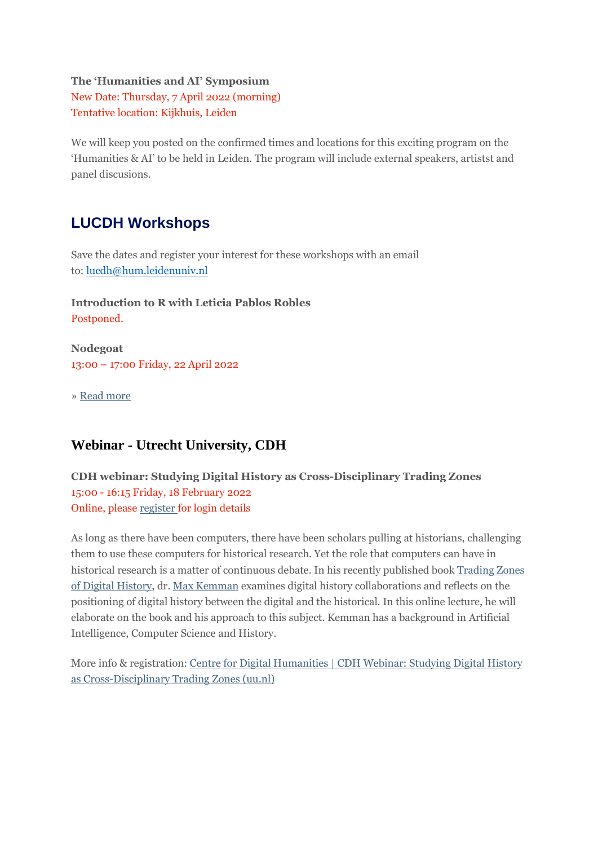#### **The 'Humanities and AI' Symposium**

New Date: Thursday, 7 April 2022 (morning) Tentative location: Kijkhuis, Leiden

We will keep you posted on the confirmed times and locations for this exciting program on the 'Humanities & AI' to be held in Leiden. The program will include external speakers, artistst and panel discusions.

#### **LUCDH Workshops**

Save the dates and register your interest for these workshops with an email to: [lucdh@hum.leidenuniv.nl](mailto:lucdh@hum.leidenuniv.nl)

**Introduction to R with Leticia Pablos Robles** Postponed.

**Nodegoat** 13:00 – 17:00 Friday, 22 April 2022

» Read [more](https://eur03.safelinks.protection.outlook.com/?url=https%3A%2F%2Fmailings.universiteitleiden.nl%2Ft%2Fd-l-aktiykl-ildrlkutiy-k%2F&data=04%7C01%7Ca.j.carter%40hum.leidenuniv.nl%7C4411698a10cf48e2a9bc08d9e18d56e7%7Cca2a7f76dbd74ec091086b3d524fb7c8%7C0%7C0%7C637788819442258702%7CUnknown%7CTWFpbGZsb3d8eyJWIjoiMC4wLjAwMDAiLCJQIjoiV2luMzIiLCJBTiI6Ik1haWwiLCJXVCI6Mn0%3D%7C3000&sdata=FmLMUxZtrubmtugAPTqsMAB1su%2FinC7emSBGCUdo9Zc%3D&reserved=0)

#### **Webinar - Utrecht University, CDH**

**CDH webinar: Studying Digital History as Cross-Disciplinary Trading Zones** 15:00 - 16:15 Friday, 18 February 2022 Online, please [register](https://eur03.safelinks.protection.outlook.com/?url=https%3A%2F%2Fmailings.universiteitleiden.nl%2Ft%2Fd-l-aktiykl-ildrlkutiy-u%2F&data=04%7C01%7Ca.j.carter%40hum.leidenuniv.nl%7C4411698a10cf48e2a9bc08d9e18d56e7%7Cca2a7f76dbd74ec091086b3d524fb7c8%7C0%7C0%7C637788819442414934%7CUnknown%7CTWFpbGZsb3d8eyJWIjoiMC4wLjAwMDAiLCJQIjoiV2luMzIiLCJBTiI6Ik1haWwiLCJXVCI6Mn0%3D%7C3000&sdata=O1IGuguiGAfpXNDvX1ncRC2U3i1RRNTYDjUfnnMUCgU%3D&reserved=0) for login details

As long as there have been computers, there have been scholars pulling at historians, challenging them to use these computers for historical research. Yet the role that computers can have in historical research is a matter of continuous debate. In his recently published book [Trading](https://eur03.safelinks.protection.outlook.com/?url=https%3A%2F%2Fmailings.universiteitleiden.nl%2Ft%2Fd-l-aktiykl-ildrlkutiy-o%2F&data=04%7C01%7Ca.j.carter%40hum.leidenuniv.nl%7C4411698a10cf48e2a9bc08d9e18d56e7%7Cca2a7f76dbd74ec091086b3d524fb7c8%7C0%7C0%7C637788819442414934%7CUnknown%7CTWFpbGZsb3d8eyJWIjoiMC4wLjAwMDAiLCJQIjoiV2luMzIiLCJBTiI6Ik1haWwiLCJXVCI6Mn0%3D%7C3000&sdata=N2xWQoSH0fBNIStNzIYN3ztzjKt5im1fiiU0kzrqce0%3D&reserved=0) Zones of Digital [History,](https://eur03.safelinks.protection.outlook.com/?url=https%3A%2F%2Fmailings.universiteitleiden.nl%2Ft%2Fd-l-aktiykl-ildrlkutiy-o%2F&data=04%7C01%7Ca.j.carter%40hum.leidenuniv.nl%7C4411698a10cf48e2a9bc08d9e18d56e7%7Cca2a7f76dbd74ec091086b3d524fb7c8%7C0%7C0%7C637788819442414934%7CUnknown%7CTWFpbGZsb3d8eyJWIjoiMC4wLjAwMDAiLCJQIjoiV2luMzIiLCJBTiI6Ik1haWwiLCJXVCI6Mn0%3D%7C3000&sdata=N2xWQoSH0fBNIStNzIYN3ztzjKt5im1fiiU0kzrqce0%3D&reserved=0) dr. Max [Kemman](https://eur03.safelinks.protection.outlook.com/?url=https%3A%2F%2Fmailings.universiteitleiden.nl%2Ft%2Fd-l-aktiykl-ildrlkutiy-p%2F&data=04%7C01%7Ca.j.carter%40hum.leidenuniv.nl%7C4411698a10cf48e2a9bc08d9e18d56e7%7Cca2a7f76dbd74ec091086b3d524fb7c8%7C0%7C0%7C637788819442414934%7CUnknown%7CTWFpbGZsb3d8eyJWIjoiMC4wLjAwMDAiLCJQIjoiV2luMzIiLCJBTiI6Ik1haWwiLCJXVCI6Mn0%3D%7C3000&sdata=SxhDsIPJjQjc33DCrOoSbczSxSS6Ym1hZ7Pf92BdSPY%3D&reserved=0) examines digital history collaborations and reflects on the positioning of digital history between the digital and the historical. In this online lecture, he will elaborate on the book and his approach to this subject. Kemman has a background in Artificial Intelligence, Computer Science and History.

More info & registration: Centre for Digital [Humanities](https://eur03.safelinks.protection.outlook.com/?url=https%3A%2F%2Fmailings.universiteitleiden.nl%2Ft%2Fd-l-aktiykl-ildrlkutiy-x%2F&data=04%7C01%7Ca.j.carter%40hum.leidenuniv.nl%7C4411698a10cf48e2a9bc08d9e18d56e7%7Cca2a7f76dbd74ec091086b3d524fb7c8%7C0%7C0%7C637788819442414934%7CUnknown%7CTWFpbGZsb3d8eyJWIjoiMC4wLjAwMDAiLCJQIjoiV2luMzIiLCJBTiI6Ik1haWwiLCJXVCI6Mn0%3D%7C3000&sdata=ImpzB%2Bmc9ek4MJ%2Bh16Nm5GjOw5yJAh11ykMp438RR4g%3D&reserved=0) | CDH Webinar: Studying Digital History as [Cross-Disciplinary](https://eur03.safelinks.protection.outlook.com/?url=https%3A%2F%2Fmailings.universiteitleiden.nl%2Ft%2Fd-l-aktiykl-ildrlkutiy-x%2F&data=04%7C01%7Ca.j.carter%40hum.leidenuniv.nl%7C4411698a10cf48e2a9bc08d9e18d56e7%7Cca2a7f76dbd74ec091086b3d524fb7c8%7C0%7C0%7C637788819442414934%7CUnknown%7CTWFpbGZsb3d8eyJWIjoiMC4wLjAwMDAiLCJQIjoiV2luMzIiLCJBTiI6Ik1haWwiLCJXVCI6Mn0%3D%7C3000&sdata=ImpzB%2Bmc9ek4MJ%2Bh16Nm5GjOw5yJAh11ykMp438RR4g%3D&reserved=0) Trading Zones (uu.nl)